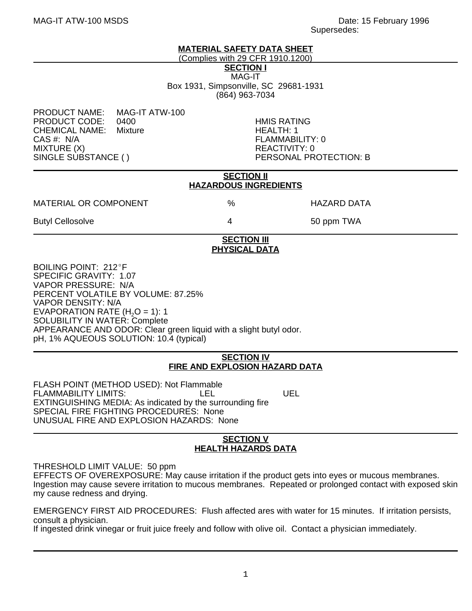#### **MATERIAL SAFETY DATA SHEET**

(Complies with 29 CFR 1910.1200)

**SECTION I**

MAG-IT Box 1931, Simpsonville, SC 29681-1931 (864) 963-7034

PRODUCT NAME: MAG-IT ATW-100 PRODUCT CODE: 0400 HMIS RATING CHEMICAL NAME: Mixture HEALTH: 1 MIXTURE (X)<br>SINGLE SUBSTANCE ()

FLAMMABILITY: 0<br>REACTIVITY: 0 PERSONAL PROTECTION: B

| <b>SECTION II</b><br><b>HAZARDOUS INGREDIENTS</b>                                                                                                                                                                              |   |             |
|--------------------------------------------------------------------------------------------------------------------------------------------------------------------------------------------------------------------------------|---|-------------|
| <b>MATERIAL OR COMPONENT</b>                                                                                                                                                                                                   | % | HAZARD DATA |
| <b>Butyl Cellosolve</b>                                                                                                                                                                                                        | 4 | 50 ppm TWA  |
| <b>SECTION III</b><br><b>PHYSICAL DATA</b>                                                                                                                                                                                     |   |             |
| BOILING POINT: 212°F<br>SPECIFIC GRAVITY: 1.07<br><b>VAPOR PRESSURE: N/A</b><br>PERCENT VOLATILE BY VOLUME: 87.25%<br><b>VAPOR DENSITY: N/A</b><br>EVAPORATION RATE (H <sub>2</sub> O = 1): 1<br>SOLUBILITY IN WATER: Complete |   |             |

APPEARANCE AND ODOR: Clear green liquid with a slight butyl odor.

#### pH, 1% AQUEOUS SOLUTION: 10.4 (typical)

### **SECTION IV FIRE AND EXPLOSION HAZARD DATA**

FLASH POINT (METHOD USED): Not Flammable FLAMMABILITY LIMITS: LEL LEL UEL EXTINGUISHING MEDIA: As indicated by the surrounding fire SPECIAL FIRE FIGHTING PROCEDURES: None UNUSUAL FIRE AND EXPLOSION HAZARDS: None

## **SECTION V HEALTH HAZARDS DATA**

THRESHOLD LIMIT VALUE: 50 ppm

EFFECTS OF OVEREXPOSURE: May cause irritation if the product gets into eyes or mucous membranes. Ingestion may cause severe irritation to mucous membranes. Repeated or prolonged contact with exposed skin my cause redness and drying.

EMERGENCY FIRST AID PROCEDURES: Flush affected ares with water for 15 minutes. If irritation persists, consult a physician.

If ingested drink vinegar or fruit juice freely and follow with olive oil. Contact a physician immediately.